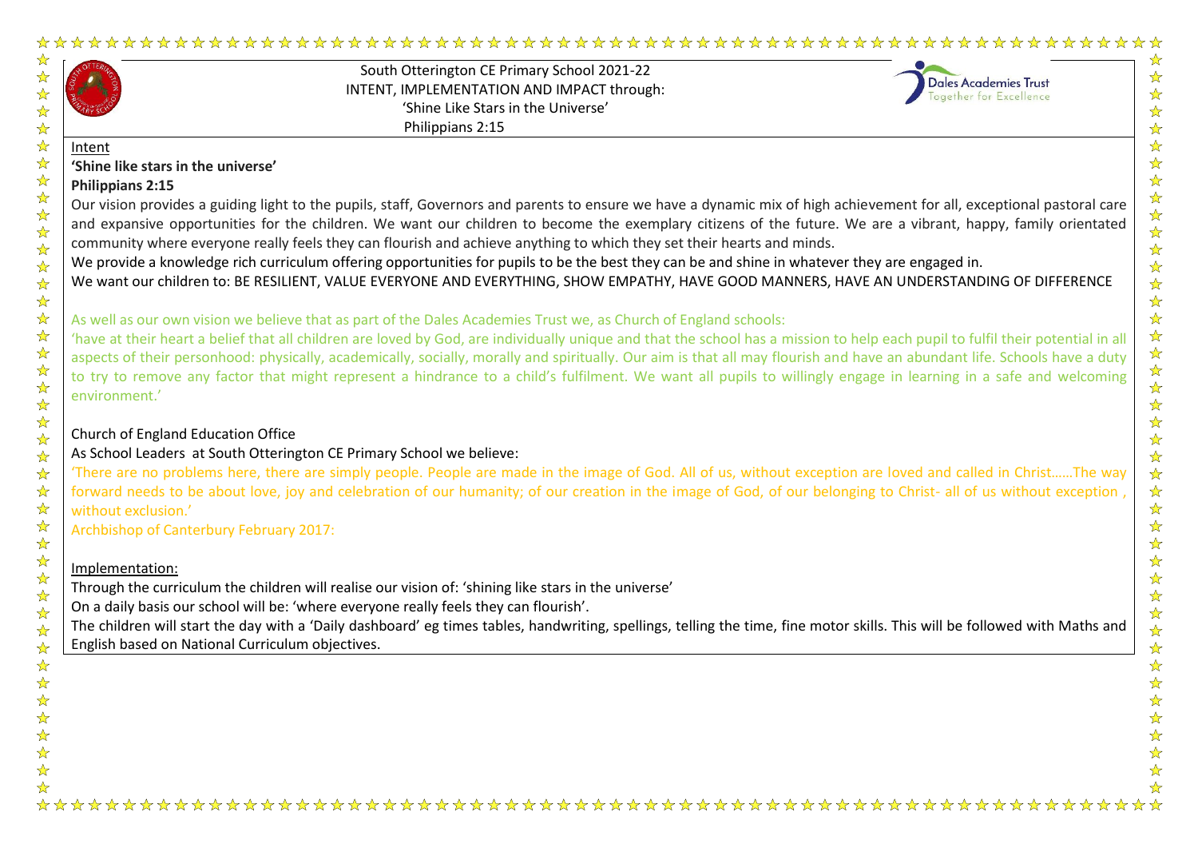|                                              | South Otterington CE Primary School 2021-22<br>INTENT, IMPLEMENTATION AND IMPACT through:<br>'Shine Like Stars in the Universe'<br>Philippians 2:15                                                                                                                                                                                                                                                                                                                                                                                                                                                                                                                                                                                                               | <b>Dales Academies Trust</b><br>Together for Excellence |
|----------------------------------------------|-------------------------------------------------------------------------------------------------------------------------------------------------------------------------------------------------------------------------------------------------------------------------------------------------------------------------------------------------------------------------------------------------------------------------------------------------------------------------------------------------------------------------------------------------------------------------------------------------------------------------------------------------------------------------------------------------------------------------------------------------------------------|---------------------------------------------------------|
| Intent<br>'Shine like stars in the universe' |                                                                                                                                                                                                                                                                                                                                                                                                                                                                                                                                                                                                                                                                                                                                                                   |                                                         |
| Philippians 2:15                             |                                                                                                                                                                                                                                                                                                                                                                                                                                                                                                                                                                                                                                                                                                                                                                   |                                                         |
|                                              | Our vision provides a guiding light to the pupils, staff, Governors and parents to ensure we have a dynamic mix of high achievement for all, exceptional pastoral care<br>and expansive opportunities for the children. We want our children to become the exemplary citizens of the future. We are a vibrant, happy, family orientated<br>community where everyone really feels they can flourish and achieve anything to which they set their hearts and minds.<br>We provide a knowledge rich curriculum offering opportunities for pupils to be the best they can be and shine in whatever they are engaged in.<br>We want our children to: BE RESILIENT, VALUE EVERYONE AND EVERYTHING, SHOW EMPATHY, HAVE GOOD MANNERS, HAVE AN UNDERSTANDING OF DIFFERENCE |                                                         |
|                                              | As well as our own vision we believe that as part of the Dales Academies Trust we, as Church of England schools:                                                                                                                                                                                                                                                                                                                                                                                                                                                                                                                                                                                                                                                  |                                                         |
| environment.'                                | 'have at their heart a belief that all children are loved by God, are individually unique and that the school has a mission to help each pupil to fulfil their potential in all<br>aspects of their personhood: physically, academically, socially, morally and spiritually. Our aim is that all may flourish and have an abundant life. Schools have a duty<br>to try to remove any factor that might represent a hindrance to a child's fulfilment. We want all pupils to willingly engage in learning in a safe and welcoming                                                                                                                                                                                                                                  |                                                         |
| Church of England Education Office           |                                                                                                                                                                                                                                                                                                                                                                                                                                                                                                                                                                                                                                                                                                                                                                   |                                                         |
|                                              | As School Leaders at South Otterington CE Primary School we believe:                                                                                                                                                                                                                                                                                                                                                                                                                                                                                                                                                                                                                                                                                              |                                                         |
| without exclusion.'                          | 'There are no problems here, there are simply people. People are made in the image of God. All of us, without exception are loved and called in ChristThe way<br>forward needs to be about love, joy and celebration of our humanity; of our creation in the image of God, of our belonging to Christ- all of us without exception,                                                                                                                                                                                                                                                                                                                                                                                                                               |                                                         |
| Archbishop of Canterbury February 2017:      |                                                                                                                                                                                                                                                                                                                                                                                                                                                                                                                                                                                                                                                                                                                                                                   |                                                         |
| Implementation:                              |                                                                                                                                                                                                                                                                                                                                                                                                                                                                                                                                                                                                                                                                                                                                                                   |                                                         |
|                                              | Through the curriculum the children will realise our vision of: 'shining like stars in the universe'                                                                                                                                                                                                                                                                                                                                                                                                                                                                                                                                                                                                                                                              |                                                         |
|                                              | On a daily basis our school will be: 'where everyone really feels they can flourish'.                                                                                                                                                                                                                                                                                                                                                                                                                                                                                                                                                                                                                                                                             |                                                         |
|                                              | The children will start the day with a 'Daily dashboard' eg times tables, handwriting, spellings, telling the time, fine motor skills. This will be followed with Maths and                                                                                                                                                                                                                                                                                                                                                                                                                                                                                                                                                                                       |                                                         |
|                                              | English based on National Curriculum objectives.                                                                                                                                                                                                                                                                                                                                                                                                                                                                                                                                                                                                                                                                                                                  |                                                         |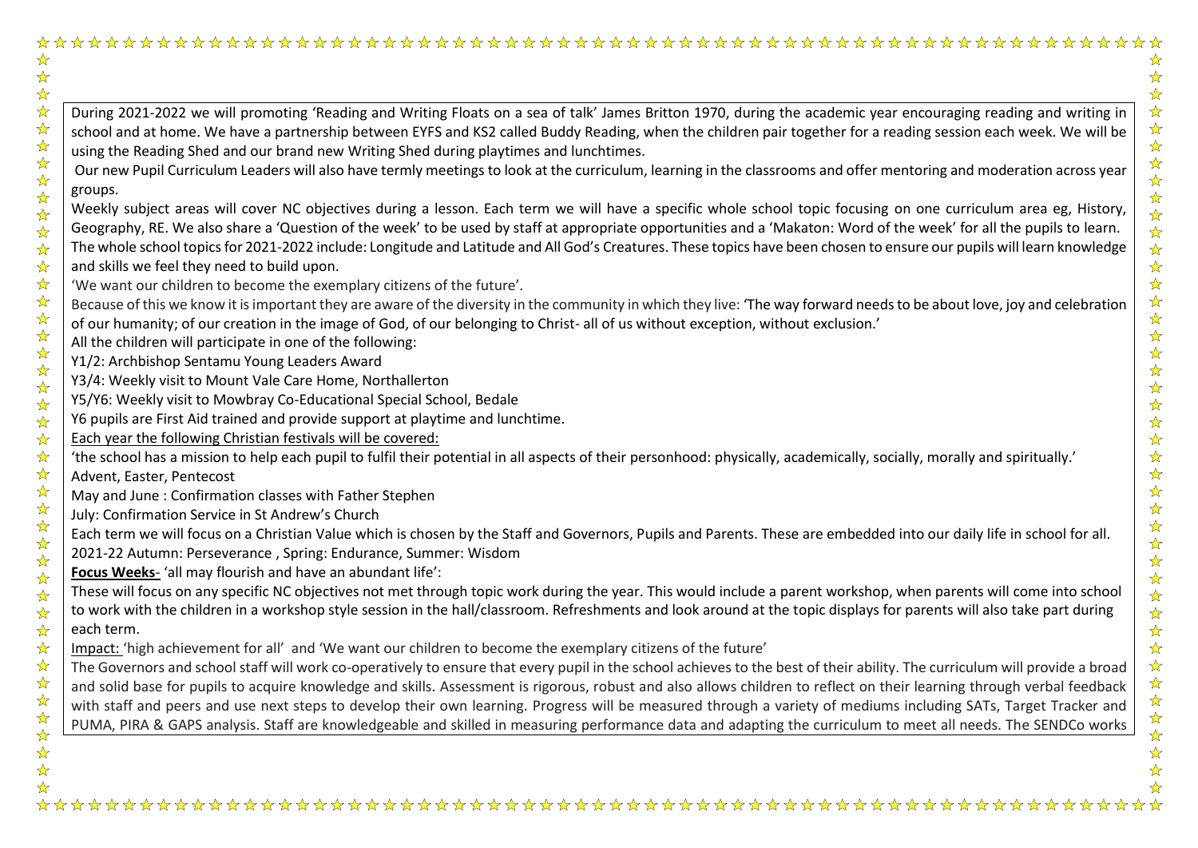| ☆                               |                                                                                                                                                                             |
|---------------------------------|-----------------------------------------------------------------------------------------------------------------------------------------------------------------------------|
|                                 |                                                                                                                                                                             |
| 2224公                           |                                                                                                                                                                             |
|                                 | During 2021-2022 we will promoting 'Reading and Writing Floats on a sea of talk' James Britton 1970, during the academic year encouraging reading and writing in            |
|                                 | school and at home. We have a partnership between EYFS and KS2 called Buddy Reading, when the children pair together for a reading session each week. We will be            |
| $\frac{1}{\mathbf{k}^{\prime}}$ | using the Reading Shed and our brand new Writing Shed during playtimes and lunchtimes.                                                                                      |
| $\frac{1}{\mathbf{k}}$          | Our new Pupil Curriculum Leaders will also have termly meetings to look at the curriculum, learning in the classrooms and offer mentoring and moderation across year        |
|                                 | groups.                                                                                                                                                                     |
|                                 | Weekly subject areas will cover NC objectives during a lesson. Each term we will have a specific whole school topic focusing on one curriculum area eg, History,            |
|                                 | Geography, RE. We also share a 'Question of the week' to be used by staff at appropriate opportunities and a 'Makaton: Word of the week' for all the pupils to learn.       |
|                                 | The whole school topics for 2021-2022 include: Longitude and Latitude and All God's Creatures. These topics have been chosen to ensure our pupils will learn knowledge      |
|                                 | and skills we feel they need to build upon.                                                                                                                                 |
|                                 | 'We want our children to become the exemplary citizens of the future'.                                                                                                      |
|                                 | Because of this we know it is important they are aware of the diversity in the community in which they live: 'The way forward needs to be about love, joy and celebration   |
|                                 | of our humanity; of our creation in the image of God, of our belonging to Christ- all of us without exception, without exclusion.'                                          |
|                                 | All the children will participate in one of the following:                                                                                                                  |
|                                 | Y1/2: Archbishop Sentamu Young Leaders Award                                                                                                                                |
|                                 | Y3/4: Weekly visit to Mount Vale Care Home, Northallerton                                                                                                                   |
|                                 | Y5/Y6: Weekly visit to Mowbray Co-Educational Special School, Bedale                                                                                                        |
|                                 | Y6 pupils are First Aid trained and provide support at playtime and lunchtime.                                                                                              |
| $\frac{1}{\sqrt{2}}$            | Each year the following Christian festivals will be covered:                                                                                                                |
| ☆<br>$\frac{1}{\sqrt{2}}$       | 'the school has a mission to help each pupil to fulfil their potential in all aspects of their personhood: physically, academically, socially, morally and spiritually.'    |
|                                 | Advent, Easter, Pentecost                                                                                                                                                   |
|                                 | May and June: Confirmation classes with Father Stephen                                                                                                                      |
|                                 | July: Confirmation Service in St Andrew's Church                                                                                                                            |
|                                 | Each term we will focus on a Christian Value which is chosen by the Staff and Governors, Pupils and Parents. These are embedded into our daily life in school for all.      |
|                                 | 2021-22 Autumn: Perseverance, Spring: Endurance, Summer: Wisdom                                                                                                             |
|                                 | Focus Weeks- 'all may flourish and have an abundant life':                                                                                                                  |
|                                 | These will focus on any specific NC objectives not met through topic work during the year. This would include a parent workshop, when parents will come into school         |
|                                 | to work with the children in a workshop style session in the hall/classroom. Refreshments and look around at the topic displays for parents will also take part during      |
|                                 | each term.                                                                                                                                                                  |
|                                 | Impact: 'high achievement for all' and 'We want our children to become the exemplary citizens of the future'                                                                |
|                                 | The Governors and school staff will work co-operatively to ensure that every pupil in the school achieves to the best of their ability. The curriculum will provide a broad |
|                                 |                                                                                                                                                                             |
|                                 | and solid base for pupils to acquire knowledge and skills. Assessment is rigorous, robust and also allows children to reflect on their learning through verbal feedback     |
|                                 | with staff and peers and use next steps to develop their own learning. Progress will be measured through a variety of mediums including SATs, Target Tracker and            |
| 卒毕<br>☆                         | PUMA, PIRA & GAPS analysis. Staff are knowledgeable and skilled in measuring performance data and adapting the curriculum to meet all needs. The SENDCo works               |
| 55年                             |                                                                                                                                                                             |
|                                 |                                                                                                                                                                             |
|                                 |                                                                                                                                                                             |